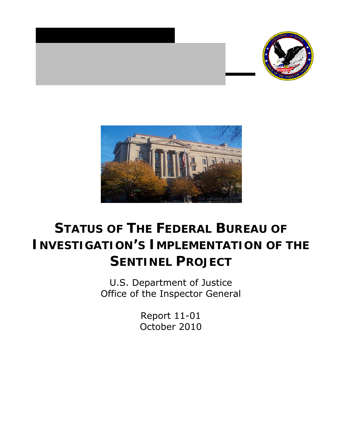



# **STATUS OF THE FEDERAL BUREAU OF INVESTIGATION'S IMPLEMENTATION OF THE SENTINEL PROJECT**

U.S. Department of Justice Office of the Inspector General

> Report 11-01 October 2010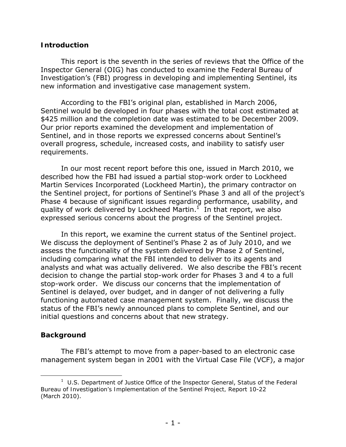## **Introduction**

This report is the seventh in the series of reviews that the Office of the Inspector General (OIG) has conducted to examine the Federal Bureau of Investigation's (FBI) progress in developing and implementing Sentinel, its new information and investigative case management system.

According to the FBI's original plan, established in March 2006, Sentinel would be developed in four phases with the total cost estimated at \$425 million and the completion date was estimated to be December 2009. Our prior reports examined the development and implementation of Sentinel, and in those reports we expressed concerns about Sentinel's overall progress, schedule, increased costs, and inability to satisfy user requirements.

In our most recent report before this one, issued in March 2010, we described how the FBI had issued a partial stop-work order to Lockheed Martin Services Incorporated (Lockheed Martin), the primary contractor on the Sentinel project, for portions of Sentinel's Phase 3 and all of the project's Phase 4 because of significant issues regarding performance, usability, and quality of work delivered by Lockheed Martin.<sup>1</sup> In that report, we also expressed serious concerns about the progress of the Sentinel project.

In this report, we examine the current status of the Sentinel project. We discuss the deployment of Sentinel's Phase 2 as of July 2010, and we assess the functionality of the system delivered by Phase 2 of Sentinel, including comparing what the FBI intended to deliver to its agents and analysts and what was actually delivered. We also describe the FBI's recent decision to change the partial stop-work order for Phases 3 and 4 to a full stop-work order. We discuss our concerns that the implementation of Sentinel is delayed, over budget, and in danger of not delivering a fully functioning automated case management system. Finally, we discuss the status of the FBI's newly announced plans to complete Sentinel, and our initial questions and concerns about that new strategy.

## **Background**

The FBI's attempt to move from a paper-based to an electronic case management system began in 2001 with the Virtual Case File (VCF), a major

 1 U.S. Department of Justice Office of the Inspector General, *Status of the Federal Bureau of Investigation's Implementation of the Sentinel Project,* Report 10-22 (March 2010).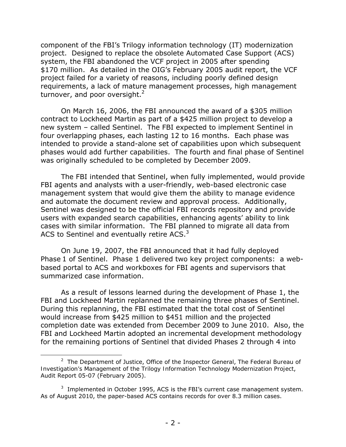component of the FBI's Trilogy information technology (IT) modernization project. Designed to replace the obsolete Automated Case Support (ACS) system, the FBI abandoned the VCF project in 2005 after spending \$170 million. As detailed in the OIG's February 2005 audit report, the VCF project failed for a variety of reasons, including poorly defined design requirements, a lack of mature management processes, high management turnover, and poor oversight. $^2$ 

On March 16, 2006, the FBI announced the award of a \$305 million contract to Lockheed Martin as part of a \$425 million project to develop a new system – called Sentinel. The FBI expected to implement Sentinel in four overlapping phases, each lasting 12 to 16 months. Each phase was intended to provide a stand-alone set of capabilities upon which subsequent phases would add further capabilities. The fourth and final phase of Sentinel was originally scheduled to be completed by December 2009.

The FBI intended that Sentinel, when fully implemented, would provide FBI agents and analysts with a user-friendly, web-based electronic case management system that would give them the ability to manage evidence and automate the document review and approval process. Additionally, Sentinel was designed to be the official FBI records repository and provide users with expanded search capabilities, enhancing agents' ability to link cases with similar information. The FBI planned to migrate all data from ACS to Sentinel and eventually retire ACS. $3$ 

On June 19, 2007, the FBI announced that it had fully deployed Phase 1 of Sentinel. Phase 1 delivered two key project components: a webbased portal to ACS and workboxes for FBI agents and supervisors that summarized case information.

As a result of lessons learned during the development of Phase 1, the FBI and Lockheed Martin replanned the remaining three phases of Sentinel. During this replanning, the FBI estimated that the total cost of Sentinel would increase from \$425 million to \$451 million and the projected completion date was extended from December 2009 to June 2010. Also, the FBI and Lockheed Martin adopted an incremental development methodology for the remaining portions of Sentinel that divided Phases 2 through 4 into

<sup>2</sup> The Department of Justice, Office of the Inspector General, *The Federal Bureau of Investigation's Management of the Trilogy Information Technology Modernization Project*, Audit Report 05-07 (February 2005).

 $3$  Implemented in October 1995, ACS is the FBI's current case management system. As of August 2010, the paper-based ACS contains records for over 8.3 million cases.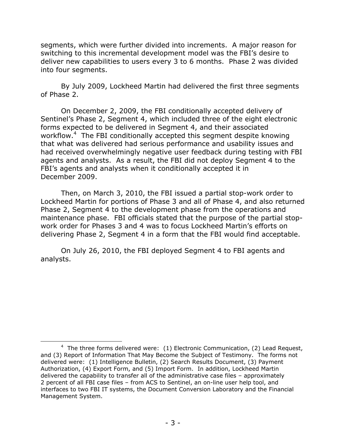segments, which were further divided into increments. A major reason for switching to this incremental development model was the FBI's desire to deliver new capabilities to users every 3 to 6 months. Phase 2 was divided into four segments.

By July 2009, Lockheed Martin had delivered the first three segments of Phase 2.

On December 2, 2009, the FBI conditionally accepted delivery of Sentinel's Phase 2, Segment 4, which included three of the eight electronic forms expected to be delivered in Segment 4, and their associated workflow.<sup>4</sup> The FBI conditionally accepted this segment despite knowing that what was delivered had serious performance and usability issues and had received overwhelmingly negative user feedback during testing with FBI agents and analysts. As a result, the FBI did not deploy Segment 4 to the FBI's agents and analysts when it conditionally accepted it in December 2009.

Then, on March 3, 2010, the FBI issued a partial stop-work order to Lockheed Martin for portions of Phase 3 and all of Phase 4, and also returned Phase 2, Segment 4 to the development phase from the operations and maintenance phase. FBI officials stated that the purpose of the partial stopwork order for Phases 3 and 4 was to focus Lockheed Martin's efforts on delivering Phase 2, Segment 4 in a form that the FBI would find acceptable.

On July 26, 2010, the FBI deployed Segment 4 to FBI agents and analysts.

<sup>&</sup>lt;sup>4</sup> The three forms delivered were: (1) Electronic Communication, (2) Lead Request, and (3) Report of Information That May Become the Subject of Testimony. The forms not delivered were: (1) Intelligence Bulletin, (2) Search Results Document, (3) Payment Authorization, (4) Export Form, and (5) Import Form. In addition, Lockheed Martin delivered the capability to transfer all of the administrative case files – approximately 2 percent of all FBI case files – from ACS to Sentinel, an on-line user help tool, and interfaces to two FBI IT systems, the Document Conversion Laboratory and the Financial Management System.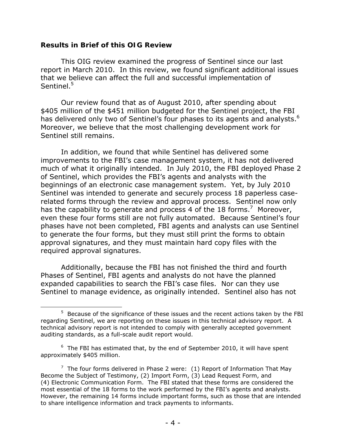## **Results in Brief of this OIG Review**

This OIG review examined the progress of Sentinel since our last report in March 2010. In this review, we found significant additional issues that we believe can affect the full and successful implementation of Sentinel<sup>5</sup>

has delivered only two of Sentinel's four phases to its agents and analysts.<sup>6</sup> Our review found that as of August 2010, after spending about \$405 million of the \$451 million budgeted for the Sentinel project, the FBI Moreover, we believe that the most challenging development work for Sentinel still remains.

In addition, we found that while Sentinel has delivered some improvements to the FBI's case management system, it has not delivered much of what it originally intended. In July 2010, the FBI deployed Phase 2 of Sentinel, which provides the FBI's agents and analysts with the beginnings of an electronic case management system. Yet, by July 2010 Sentinel was intended to generate and securely process 18 paperless caserelated forms through the review and approval process. Sentinel now only has the capability to generate and process 4 of the 18 forms.<sup>7</sup> Moreover, even these four forms still are not fully automated. Because Sentinel's four phases have not been completed, FBI agents and analysts can use Sentinel to generate the four forms, but they must still print the forms to obtain approval signatures, and they must maintain hard copy files with the required approval signatures.

Additionally, because the FBI has not finished the third and fourth Phases of Sentinel, FBI agents and analysts do not have the planned expanded capabilities to search the FBI's case files. Nor can they use Sentinel to manage evidence, as originally intended. Sentinel also has not

  $5$  Because of the significance of these issues and the recent actions taken by the FBI regarding Sentinel, we are reporting on these issues in this technical advisory report. A technical advisory report is not intended to comply with generally accepted government auditing standards, as a full-scale audit report would.

 $6$  The FBI has estimated that, by the end of September 2010, it will have spent approximately \$405 million.

<sup>&</sup>lt;sup>7</sup> The four forms delivered in Phase 2 were: (1) Report of Information That May Become the Subject of Testimony, (2) Import Form, (3) Lead Request Form, and (4) Electronic Communication Form. The FBI stated that these forms are considered the most essential of the 18 forms to the work performed by the FBI's agents and analysts. However, the remaining 14 forms include important forms, such as those that are intended to share intelligence information and track payments to informants.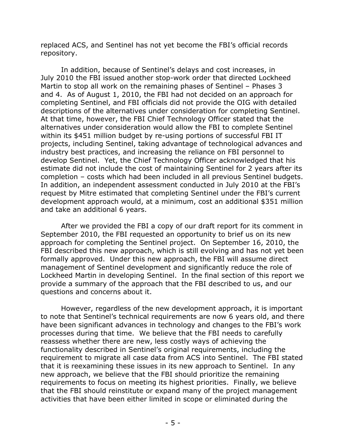replaced ACS, and Sentinel has not yet become the FBI's official records repository.

In addition, because of Sentinel's delays and cost increases, in July 2010 the FBI issued another stop-work order that directed Lockheed Martin to stop all work on the remaining phases of Sentinel – Phases 3 and 4. As of August 1, 2010, the FBI had not decided on an approach for completing Sentinel, and FBI officials did not provide the OIG with detailed descriptions of the alternatives under consideration for completing Sentinel. At that time, however, the FBI Chief Technology Officer stated that the alternatives under consideration would allow the FBI to complete Sentinel within its \$451 million budget by re-using portions of successful FBI IT projects, including Sentinel, taking advantage of technological advances and industry best practices, and increasing the reliance on FBI personnel to develop Sentinel. Yet, the Chief Technology Officer acknowledged that his estimate did not include the cost of maintaining Sentinel for 2 years after its completion – costs which had been included in all previous Sentinel budgets. In addition, an independent assessment conducted in July 2010 at the FBI's request by Mitre estimated that completing Sentinel under the FBI's current development approach would, at a minimum, cost an additional \$351 million and take an additional 6 years.

After we provided the FBI a copy of our draft report for its comment in September 2010, the FBI requested an opportunity to brief us on its new approach for completing the Sentinel project. On September 16, 2010, the FBI described this new approach, which is still evolving and has not yet been formally approved. Under this new approach, the FBI will assume direct management of Sentinel development and significantly reduce the role of Lockheed Martin in developing Sentinel. In the final section of this report we provide a summary of the approach that the FBI described to us, and our questions and concerns about it.

However, regardless of the new development approach, it is important to note that Sentinel's technical requirements are now 6 years old, and there have been significant advances in technology and changes to the FBI's work processes during that time. We believe that the FBI needs to carefully reassess whether there are new, less costly ways of achieving the functionality described in Sentinel's original requirements, including the requirement to migrate all case data from ACS into Sentinel. The FBI stated that it is reexamining these issues in its new approach to Sentinel. In any new approach, we believe that the FBI should prioritize the remaining requirements to focus on meeting its highest priorities. Finally, we believe that the FBI should reinstitute or expand many of the project management activities that have been either limited in scope or eliminated during the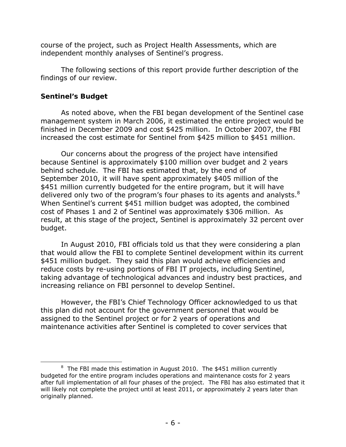course of the project, such as Project Health Assessments, which are independent monthly analyses of Sentinel's progress.

The following sections of this report provide further description of the findings of our review.

# **Sentinel's Budget**

As noted above, when the FBI began development of the Sentinel case management system in March 2006, it estimated the entire project would be finished in December 2009 and cost \$425 million. In October 2007, the FBI increased the cost estimate for Sentinel from \$425 million to \$451 million.

delivered only two of the program's four phases to its agents and analysts. $8$ Our concerns about the progress of the project have intensified because Sentinel is approximately \$100 million over budget and 2 years behind schedule. The FBI has estimated that, by the end of September 2010, it will have spent approximately \$405 million of the \$451 million currently budgeted for the entire program, but it will have When Sentinel's current \$451 million budget was adopted, the combined cost of Phases 1 and 2 of Sentinel was approximately \$306 million. As result, at this stage of the project, Sentinel is approximately 32 percent over budget.

In August 2010, FBI officials told us that they were considering a plan that would allow the FBI to complete Sentinel development within its current \$451 million budget. They said this plan would achieve efficiencies and reduce costs by re-using portions of FBI IT projects, including Sentinel, taking advantage of technological advances and industry best practices, and increasing reliance on FBI personnel to develop Sentinel.

However, the FBI's Chief Technology Officer acknowledged to us that this plan did not account for the government personnel that would be assigned to the Sentinel project or for 2 years of operations and maintenance activities after Sentinel is completed to cover services that

 $8$  The FBI made this estimation in August 2010. The \$451 million currently budgeted for the entire program includes operations and maintenance costs for 2 years after full implementation of all four phases of the project. The FBI has also estimated that it will likely not complete the project until at least 2011, or approximately 2 years later than originally planned.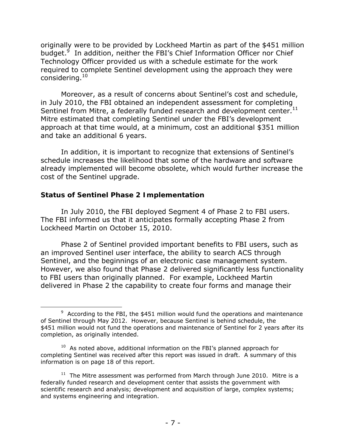originally were to be provided by Lockheed Martin as part of the \$451 million budget.<sup>9</sup> In addition, neither the FBI's Chief Information Officer nor Chief Technology Officer provided us with a schedule estimate for the work required to complete Sentinel development using the approach they were considering.<sup>10</sup>

Sentinel from Mitre, a federally funded research and development center. $^{11}$ Moreover, as a result of concerns about Sentinel's cost and schedule, in July 2010, the FBI obtained an independent assessment for completing Mitre estimated that completing Sentinel under the FBI's development approach at that time would, at a minimum, cost an additional \$351 million and take an additional 6 years.

In addition, it is important to recognize that extensions of Sentinel's schedule increases the likelihood that some of the hardware and software already implemented will become obsolete, which would further increase the cost of the Sentinel upgrade.

# **Status of Sentinel Phase 2 Implementation**

In July 2010, the FBI deployed Segment 4 of Phase 2 to FBI users. The FBI informed us that it anticipates formally accepting Phase 2 from Lockheed Martin on October 15, 2010.

Phase 2 of Sentinel provided important benefits to FBI users, such as an improved Sentinel user interface, the ability to search ACS through Sentinel, and the beginnings of an electronic case management system. However, we also found that Phase 2 delivered significantly less functionality to FBI users than originally planned. For example, Lockheed Martin delivered in Phase 2 the capability to create four forms and manage their

  $9$  According to the FBI, the \$451 million would fund the operations and maintenance of Sentinel through May 2012. However, because Sentinel is behind schedule, the \$451 million would not fund the operations and maintenance of Sentinel for 2 years after its completion, as originally intended.

 $10$  As noted above, additional information on the FBI's planned approach for completing Sentinel was received after this report was issued in draft. A summary of this information is on page 18 of this report.

 $11$  The Mitre assessment was performed from March through June 2010. Mitre is a federally funded research and development center that assists the government with scientific research and analysis; development and acquisition of large, complex systems; and systems engineering and integration.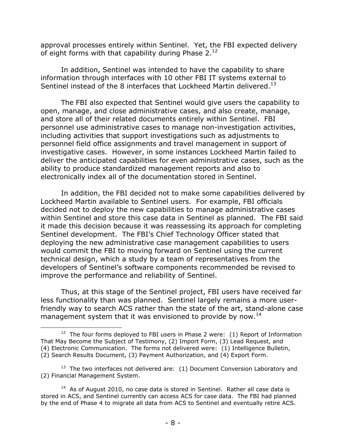approval processes entirely within Sentinel. Yet, the FBI expected delivery of eight forms with that capability during Phase  $2.^{12}$ 

In addition, Sentinel was intended to have the capability to share information through interfaces with 10 other FBI IT systems external to Sentinel instead of the 8 interfaces that Lockheed Martin delivered.<sup>13</sup>

The FBI also expected that Sentinel would give users the capability to open, manage, and close administrative cases, and also create, manage, and store all of their related documents entirely within Sentinel. FBI personnel use administrative cases to manage non-investigation activities, including activities that support investigations such as adjustments to personnel field office assignments and travel management in support of investigative cases. However, in some instances Lockheed Martin failed to deliver the anticipated capabilities for even administrative cases, such as the ability to produce standardized management reports and also to electronically index all of the documentation stored in Sentinel.

In addition, the FBI decided not to make some capabilities delivered by Lockheed Martin available to Sentinel users. For example, FBI officials decided not to deploy the new capabilities to manage administrative cases within Sentinel and store this case data in Sentinel as planned. The FBI said it made this decision because it was reassessing its approach for completing Sentinel development. The FBI's Chief Technology Officer stated that deploying the new administrative case management capabilities to users would commit the FBI to moving forward on Sentinel using the current technical design, which a study by a team of representatives from the developers of Sentinel's software components recommended be revised to improve the performance and reliability of Sentinel.

Thus, at this stage of the Sentinel project, FBI users have received far less functionality than was planned. Sentinel largely remains a more userfriendly way to search ACS rather than the state of the art, stand-alone case management system that it was envisioned to provide by now.<sup>14</sup>

 (2) Search Results Document, (3) Payment Authorization, and (4) Export Form.  $12$  The four forms deployed to FBI users in Phase 2 were: (1) Report of Information That May Become the Subject of Testimony, (2) Import Form, (3) Lead Request, and (4) Electronic Communication. The forms not delivered were: (1) Intelligence Bulletin,

 $13$  The two interfaces not delivered are: (1) Document Conversion Laboratory and (2) Financial Management System.

 $14$  As of August 2010, no case data is stored in Sentinel. Rather all case data is stored in ACS, and Sentinel currently can access ACS for case data. The FBI had planned by the end of Phase 4 to migrate all data from ACS to Sentinel and eventually retire ACS.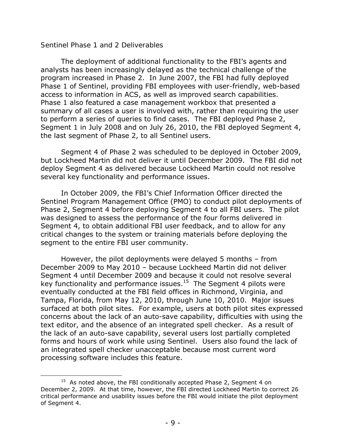## *Sentinel Phase 1 and 2 Deliverables*

The deployment of additional functionality to the FBI's agents and analysts has been increasingly delayed as the technical challenge of the program increased in Phase 2. In June 2007, the FBI had fully deployed Phase 1 of Sentinel, providing FBI employees with user-friendly, web-based access to information in ACS, as well as improved search capabilities. Phase 1 also featured a case management workbox that presented a summary of all cases a user is involved with, rather than requiring the user to perform a series of queries to find cases. The FBI deployed Phase 2, Segment 1 in July 2008 and on July 26, 2010, the FBI deployed Segment 4, the last segment of Phase 2, to all Sentinel users.

Segment 4 of Phase 2 was scheduled to be deployed in October 2009, but Lockheed Martin did not deliver it until December 2009. The FBI did not deploy Segment 4 as delivered because Lockheed Martin could not resolve several key functionality and performance issues.

In October 2009, the FBI's Chief Information Officer directed the Sentinel Program Management Office (PMO) to conduct pilot deployments of Phase 2, Segment 4 before deploying Segment 4 to all FBI users. The pilot was designed to assess the performance of the four forms delivered in Segment 4, to obtain additional FBI user feedback, and to allow for any critical changes to the system or training materials before deploying the segment to the entire FBI user community.

However, the pilot deployments were delayed 5 months – from December 2009 to May 2010 – because Lockheed Martin did not deliver Segment 4 until December 2009 and because it could not resolve several key functionality and performance issues.<sup>15</sup> The Segment 4 pilots were eventually conducted at the FBI field offices in Richmond, Virginia, and Tampa, Florida, from May 12, 2010, through June 10, 2010. Major issues surfaced at both pilot sites. For example, users at both pilot sites expressed concerns about the lack of an auto-save capability, difficulties with using the text editor, and the absence of an integrated spell checker. As a result of the lack of an auto-save capability, several users lost partially completed forms and hours of work while using Sentinel. Users also found the lack of an integrated spell checker unacceptable because most current word processing software includes this feature.

 $15$  As noted above, the FBI conditionally accepted Phase 2, Segment 4 on December 2, 2009. At that time, however, the FBI directed Lockheed Martin to correct 26 critical performance and usability issues before the FBI would initiate the pilot deployment of Segment 4.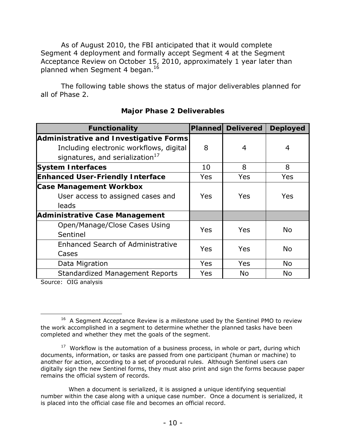As of August 2010, the FBI anticipated that it would complete Segment 4 deployment and formally accept Segment 4 at the Segment Acceptance Review on October 15, 2010, approximately 1 year later than planned when Segment 4 began.<sup>16</sup>

The following table shows the status of major deliverables planned for all of Phase 2.

| <b>Functionality</b>                        |            | <b>Planned Delivered</b> | <b>Deployed</b> |
|---------------------------------------------|------------|--------------------------|-----------------|
| Administrative and Investigative Forms      |            |                          |                 |
| Including electronic workflows, digital     | 8          | 4                        | 4               |
| signatures, and serialization <sup>17</sup> |            |                          |                 |
| <b>System Interfaces</b>                    | 10         | 8                        | 8               |
| <b>Enhanced User-Friendly Interface</b>     | Yes        | <b>Yes</b>               | Yes             |
| <b>Case Management Workbox</b>              |            |                          |                 |
| User access to assigned cases and           | <b>Yes</b> | Yes                      | <b>Yes</b>      |
| leads                                       |            |                          |                 |
| <b>Administrative Case Management</b>       |            |                          |                 |
| Open/Manage/Close Cases Using               | Yes        | Yes                      | <b>No</b>       |
| Sentinel                                    |            |                          |                 |
| <b>Enhanced Search of Administrative</b>    | Yes        | Yes                      | <b>No</b>       |
| Cases                                       |            |                          |                 |
| Data Migration                              | Yes        | <b>Yes</b>               | <b>No</b>       |
| <b>Standardized Management Reports</b>      | Yes        | <b>No</b>                | No              |

# **Major Phase 2 Deliverables**

Source: OIG analysis

 <sup>16</sup> A Segment Acceptance Review is a milestone used by the Sentinel PMO to review the work accomplished in a segment to determine whether the planned tasks have been completed and whether they met the goals of the segment.

 $17$  Workflow is the automation of a business process, in whole or part, during which documents, information, or tasks are passed from one participant (human or machine) to another for action, according to a set of procedural rules. Although Sentinel users can digitally sign the new Sentinel forms, they must also print and sign the forms because paper remains the official system of records.

 number within the case along with a unique case number. Once a document is serialized, it When a document is serialized, it is assigned a unique identifying sequential is placed into the official case file and becomes an official record.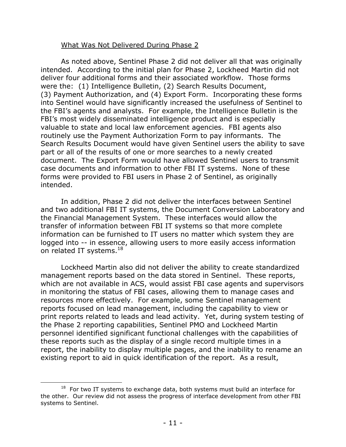## What Was Not Delivered During Phase 2

As noted above, Sentinel Phase 2 did not deliver all that was originally intended. According to the initial plan for Phase 2, Lockheed Martin did not deliver four additional forms and their associated workflow. Those forms were the: (1) Intelligence Bulletin, (2) Search Results Document, (3) Payment Authorization, and (4) Export Form. Incorporating these forms into Sentinel would have significantly increased the usefulness of Sentinel to the FBI's agents and analysts. For example, the Intelligence Bulletin is the FBI's most widely disseminated intelligence product and is especially valuable to state and local law enforcement agencies. FBI agents also routinely use the Payment Authorization Form to pay informants. The Search Results Document would have given Sentinel users the ability to save part or all of the results of one or more searches to a newly created document. The Export Form would have allowed Sentinel users to transmit case documents and information to other FBI IT systems. None of these forms were provided to FBI users in Phase 2 of Sentinel, as originally intended.

In addition, Phase 2 did not deliver the interfaces between Sentinel and two additional FBI IT systems, the Document Conversion Laboratory and the Financial Management System. These interfaces would allow the transfer of information between FBI IT systems so that more complete information can be furnished to IT users no matter which system they are logged into -- in essence, allowing users to more easily access information on related IT systems.<sup>18</sup>

Lockheed Martin also did not deliver the ability to create standardized management reports based on the data stored in Sentinel. These reports, which are not available in ACS, would assist FBI case agents and supervisors in monitoring the status of FBI cases, allowing them to manage cases and resources more effectively. For example, some Sentinel management reports focused on lead management, including the capability to view or print reports related to leads and lead activity. Yet, during system testing of the Phase 2 reporting capabilities, Sentinel PMO and Lockheed Martin personnel identified significant functional challenges with the capabilities of these reports such as the display of a single record multiple times in a report, the inability to display multiple pages, and the inability to rename an existing report to aid in quick identification of the report. As a result,

 $18$  For two IT systems to exchange data, both systems must build an interface for the other. Our review did not assess the progress of interface development from other FBI systems to Sentinel.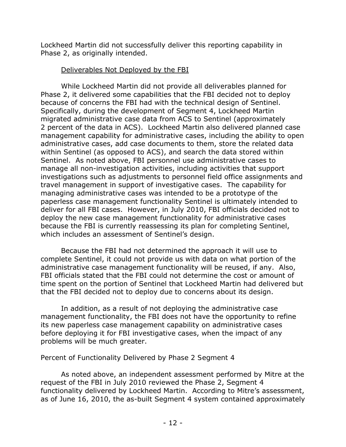Lockheed Martin did not successfully deliver this reporting capability in Phase 2, as originally intended.

# Deliverables Not Deployed by the FBI

While Lockheed Martin did not provide all deliverables planned for Phase 2, it delivered some capabilities that the FBI decided not to deploy because of concerns the FBI had with the technical design of Sentinel. Specifically, during the development of Segment 4, Lockheed Martin migrated administrative case data from ACS to Sentinel (approximately 2 percent of the data in ACS). Lockheed Martin also delivered planned case management capability for administrative cases, including the ability to open administrative cases, add case documents to them, store the related data within Sentinel (as opposed to ACS), and search the data stored within Sentinel. As noted above, FBI personnel use administrative cases to manage all non-investigation activities, including activities that support investigations such as adjustments to personnel field office assignments and travel management in support of investigative cases. The capability for managing administrative cases was intended to be a prototype of the paperless case management functionality Sentinel is ultimately intended to deliver for all FBI cases. However, in July 2010, FBI officials decided not to deploy the new case management functionality for administrative cases because the FBI is currently reassessing its plan for completing Sentinel, which includes an assessment of Sentinel's design.

Because the FBI had not determined the approach it will use to complete Sentinel, it could not provide us with data on what portion of the administrative case management functionality will be reused, if any. Also, FBI officials stated that the FBI could not determine the cost or amount of time spent on the portion of Sentinel that Lockheed Martin had delivered but that the FBI decided not to deploy due to concerns about its design.

In addition, as a result of not deploying the administrative case management functionality, the FBI does not have the opportunity to refine its new paperless case management capability on administrative cases before deploying it for FBI investigative cases, when the impact of any problems will be much greater.

## *Percent of Functionality Delivered by Phase 2 Segment 4*

As noted above, an independent assessment performed by Mitre at the request of the FBI in July 2010 reviewed the Phase 2, Segment 4 functionality delivered by Lockheed Martin. According to Mitre's assessment, as of June 16, 2010, the as-built Segment 4 system contained approximately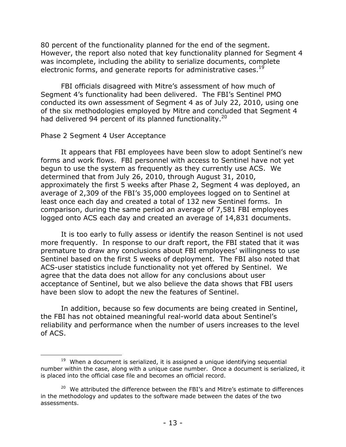80 percent of the functionality planned for the end of the segment. However, the report also noted that key functionality planned for Segment 4 was incomplete, including the ability to serialize documents, complete electronic forms, and generate reports for administrative cases.<sup>19</sup>

FBI officials disagreed with Mitre's assessment of how much of Segment 4's functionality had been delivered. The FBI's Sentinel PMO conducted its own assessment of Segment 4 as of July 22, 2010, using one of the six methodologies employed by Mitre and concluded that Segment 4 had delivered 94 percent of its planned functionality.<sup>20</sup>

#### *Phase 2 Segment 4 User Acceptance*

It appears that FBI employees have been slow to adopt Sentinel's new forms and work flows. FBI personnel with access to Sentinel have not yet begun to use the system as frequently as they currently use ACS. We determined that from July 26, 2010, through August 31, 2010, approximately the first 5 weeks after Phase 2, Segment 4 was deployed, an average of 2,309 of the FBI's 35,000 employees logged on to Sentinel at least once each day and created a total of 132 new Sentinel forms. In comparison, during the same period an average of 7,581 FBI employees logged onto ACS each day and created an average of 14,831 documents.

It is too early to fully assess or identify the reason Sentinel is not used more frequently. In response to our draft report, the FBI stated that it was premature to draw any conclusions about FBI employees' willingness to use Sentinel based on the first 5 weeks of deployment. The FBI also noted that ACS-user statistics include functionality not yet offered by Sentinel. We agree that the data does not allow for any conclusions about user acceptance of Sentinel, but we also believe the data shows that FBI users have been slow to adopt the new the features of Sentinel.

In addition, because so few documents are being created in Sentinel, the FBI has not obtained meaningful real-world data about Sentinel's reliability and performance when the number of users increases to the level of ACS.

  $19$  When a document is serialized, it is assigned a unique identifying sequential number within the case, along with a unique case number. Once a document is serialized, it is placed into the official case file and becomes an official record.

 $20$  We attributed the difference between the FBI's and Mitre's estimate to differences in the methodology and updates to the software made between the dates of the two assessments.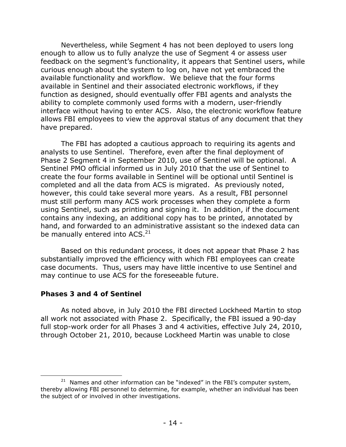Nevertheless, while Segment 4 has not been deployed to users long enough to allow us to fully analyze the use of Segment 4 or assess user feedback on the segment's functionality, it appears that Sentinel users, while curious enough about the system to log on, have not yet embraced the available functionality and workflow. We believe that the four forms available in Sentinel and their associated electronic workflows, if they function as designed, should eventually offer FBI agents and analysts the ability to complete commonly used forms with a modern, user-friendly interface without having to enter ACS. Also, the electronic workflow feature allows FBI employees to view the approval status of any document that they have prepared.

The FBI has adopted a cautious approach to requiring its agents and analysts to use Sentinel. Therefore, even after the final deployment of Phase 2 Segment 4 in September 2010, use of Sentinel will be optional. A Sentinel PMO official informed us in July 2010 that the use of Sentinel to create the four forms available in Sentinel will be optional until Sentinel is completed and all the data from ACS is migrated. As previously noted, however, this could take several more years. As a result, FBI personnel must still perform many ACS work processes when they complete a form using Sentinel, such as printing and signing it. In addition, if the document contains any indexing, an additional copy has to be printed, annotated by hand, and forwarded to an administrative assistant so the indexed data can be manually entered into ACS.<sup>21</sup>

Based on this redundant process, it does not appear that Phase 2 has substantially improved the efficiency with which FBI employees can create case documents. Thus, users may have little incentive to use Sentinel and may continue to use ACS for the foreseeable future.

## **Phases 3 and 4 of Sentinel**

As noted above, in July 2010 the FBI directed Lockheed Martin to stop all work not associated with Phase 2. Specifically, the FBI issued a 90-day full stop-work order for all Phases 3 and 4 activities, effective July 24, 2010, through October 21, 2010, because Lockheed Martin was unable to close

  $21$  Names and other information can be "indexed" in the FBI's computer system, thereby allowing FBI personnel to determine, for example, whether an individual has been the subject of or involved in other investigations.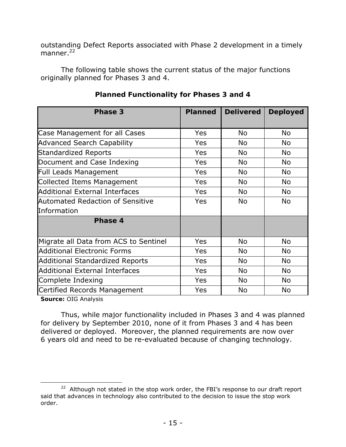outstanding Defect Reports associated with Phase 2 development in a timely manner. $^{22}$ 

The following table shows the current status of the major functions originally planned for Phases 3 and 4.

| <b>Phase 3</b>                         | <b>Planned</b> | <b>Delivered</b> | <b>Deployed</b> |
|----------------------------------------|----------------|------------------|-----------------|
|                                        |                |                  |                 |
| Case Management for all Cases          | <b>Yes</b>     | <b>No</b>        | <b>No</b>       |
| <b>Advanced Search Capability</b>      | Yes            | <b>No</b>        | <b>No</b>       |
| <b>Standardized Reports</b>            | Yes            | <b>No</b>        | <b>No</b>       |
| Document and Case Indexing             | Yes            | <b>No</b>        | <b>No</b>       |
| Full Leads Management                  | Yes            | <b>No</b>        | <b>No</b>       |
| Collected Items Management             | Yes            | <b>No</b>        | <b>No</b>       |
| <b>Additional External Interfaces</b>  | Yes            | <b>No</b>        | <b>No</b>       |
| Automated Redaction of Sensitive       | Yes            | <b>No</b>        | <b>No</b>       |
| Information                            |                |                  |                 |
| Phase 4                                |                |                  |                 |
|                                        |                |                  |                 |
| Migrate all Data from ACS to Sentinel  | Yes            | <b>No</b>        | <b>No</b>       |
| <b>Additional Electronic Forms</b>     | Yes            | <b>No</b>        | <b>No</b>       |
| <b>Additional Standardized Reports</b> | Yes            | <b>No</b>        | <b>No</b>       |
| <b>Additional External Interfaces</b>  | Yes            | No.              | No.             |
| Complete Indexing                      | Yes            | <b>No</b>        | <b>No</b>       |
| Certified Records Management           | Yes            | <b>No</b>        | <b>No</b>       |
|                                        |                |                  |                 |

# **Planned Functionality for Phases 3 and 4**

**Source:** OIG Analysis

Thus, while major functionality included in Phases 3 and 4 was planned for delivery by September 2010, none of it from Phases 3 and 4 has been delivered or deployed. Moreover, the planned requirements are now over 6 years old and need to be re-evaluated because of changing technology.

 <sup>22</sup> Although not stated in the stop work order, the FBI's response to our draft report said that advances in technology also contributed to the decision to issue the stop work order.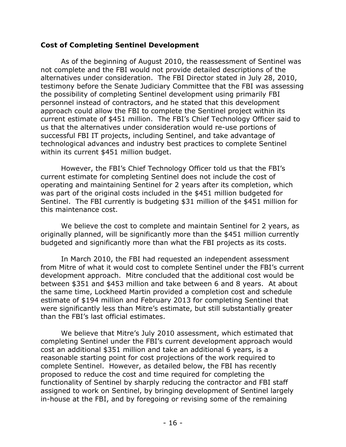## **Cost of Completing Sentinel Development**

As of the beginning of August 2010, the reassessment of Sentinel was not complete and the FBI would not provide detailed descriptions of the alternatives under consideration. The FBI Director stated in July 28, 2010, testimony before the Senate Judiciary Committee that the FBI was assessing the possibility of completing Sentinel development using primarily FBI personnel instead of contractors, and he stated that this development approach could allow the FBI to complete the Sentinel project within its current estimate of \$451 million. The FBI's Chief Technology Officer said to us that the alternatives under consideration would re-use portions of successful FBI IT projects, including Sentinel, and take advantage of technological advances and industry best practices to complete Sentinel within its current \$451 million budget.

However, the FBI's Chief Technology Officer told us that the FBI's current estimate for completing Sentinel does not include the cost of operating and maintaining Sentinel for 2 years after its completion, which was part of the original costs included in the \$451 million budgeted for Sentinel. The FBI currently is budgeting \$31 million of the \$451 million for this maintenance cost.

We believe the cost to complete and maintain Sentinel for 2 years, as originally planned, will be significantly more than the \$451 million currently budgeted and significantly more than what the FBI projects as its costs.

In March 2010, the FBI had requested an independent assessment from Mitre of what it would cost to complete Sentinel under the FBI's current development approach. Mitre concluded that the additional cost would be between \$351 and \$453 million and take between 6 and 8 years. At about the same time, Lockheed Martin provided a completion cost and schedule estimate of \$194 million and February 2013 for completing Sentinel that were significantly less than Mitre's estimate, but still substantially greater than the FBI's last official estimates.

We believe that Mitre's July 2010 assessment, which estimated that completing Sentinel under the FBI's current development approach would cost an additional \$351 million and take an additional 6 years, is a reasonable starting point for cost projections of the work required to complete Sentinel. However, as detailed below, the FBI has recently proposed to reduce the cost and time required for completing the functionality of Sentinel by sharply reducing the contractor and FBI staff assigned to work on Sentinel, by bringing development of Sentinel largely in-house at the FBI, and by foregoing or revising some of the remaining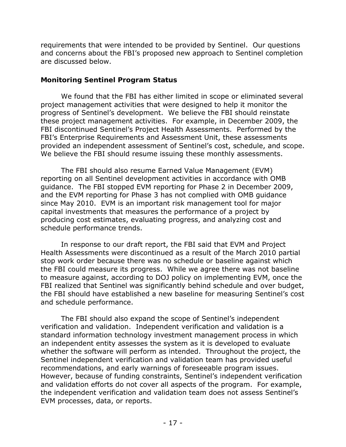requirements that were intended to be provided by Sentinel. Our questions and concerns about the FBI's proposed new approach to Sentinel completion are discussed below.

## **Monitoring Sentinel Program Status**

We found that the FBI has either limited in scope or eliminated several project management activities that were designed to help it monitor the progress of Sentinel's development. We believe the FBI should reinstate these project management activities. For example, in December 2009, the FBI discontinued Sentinel's Project Health Assessments. Performed by the FBI's Enterprise Requirements and Assessment Unit, these assessments provided an independent assessment of Sentinel's cost, schedule, and scope. We believe the FBI should resume issuing these monthly assessments.

The FBI should also resume Earned Value Management (EVM) reporting on all Sentinel development activities in accordance with OMB guidance. The FBI stopped EVM reporting for Phase 2 in December 2009, and the EVM reporting for Phase 3 has not complied with OMB guidance since May 2010. EVM is an important risk management tool for major capital investments that measures the performance of a project by producing cost estimates, evaluating progress, and analyzing cost and schedule performance trends.

In response to our draft report, the FBI said that EVM and Project Health Assessments were discontinued as a result of the March 2010 partial stop work order because there was no schedule or baseline against which the FBI could measure its progress. While we agree there was not baseline to measure against, according to DOJ policy on implementing EVM, once the FBI realized that Sentinel was significantly behind schedule and over budget, the FBI should have established a new baseline for measuring Sentinel's cost and schedule performance.

The FBI should also expand the scope of Sentinel's independent verification and validation. Independent verification and validation is a standard information technology investment management process in which an independent entity assesses the system as it is developed to evaluate whether the software will perform as intended. Throughout the project, the Sentinel independent verification and validation team has provided useful recommendations, and early warnings of foreseeable program issues. However, because of funding constraints, Sentinel's independent verification and validation efforts do not cover all aspects of the program. For example, the independent verification and validation team does not assess Sentinel's EVM processes, data, or reports.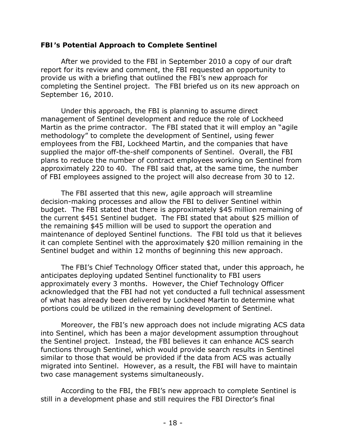## **FBI's Potential Approach to Complete Sentinel**

After we provided to the FBI in September 2010 a copy of our draft report for its review and comment, the FBI requested an opportunity to provide us with a briefing that outlined the FBI's new approach for completing the Sentinel project. The FBI briefed us on its new approach on September 16, 2010.

Under this approach, the FBI is planning to assume direct management of Sentinel development and reduce the role of Lockheed Martin as the prime contractor. The FBI stated that it will employ an "agile methodology" to complete the development of Sentinel, using fewer employees from the FBI, Lockheed Martin, and the companies that have supplied the major off-the-shelf components of Sentinel. Overall, the FBI plans to reduce the number of contract employees working on Sentinel from approximately 220 to 40. The FBI said that, at the same time, the number of FBI employees assigned to the project will also decrease from 30 to 12.

The FBI asserted that this new, agile approach will streamline decision-making processes and allow the FBI to deliver Sentinel within budget. The FBI stated that there is approximately \$45 million remaining of the current \$451 Sentinel budget. The FBI stated that about \$25 million of the remaining \$45 million will be used to support the operation and maintenance of deployed Sentinel functions. The FBI told us that it believes it can complete Sentinel with the approximately \$20 million remaining in the Sentinel budget and within 12 months of beginning this new approach.

The FBI's Chief Technology Officer stated that, under this approach, he anticipates deploying updated Sentinel functionality to FBI users approximately every 3 months. However, the Chief Technology Officer acknowledged that the FBI had not yet conducted a full technical assessment of what has already been delivered by Lockheed Martin to determine what portions could be utilized in the remaining development of Sentinel.

Moreover, the FBI's new approach does not include migrating ACS data into Sentinel, which has been a major development assumption throughout the Sentinel project. Instead, the FBI believes it can enhance ACS search functions through Sentinel, which would provide search results in Sentinel similar to those that would be provided if the data from ACS was actually migrated into Sentinel. However, as a result, the FBI will have to maintain two case management systems simultaneously.

According to the FBI, the FBI's new approach to complete Sentinel is still in a development phase and still requires the FBI Director's final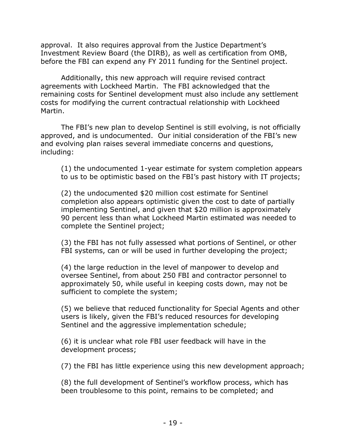approval. It also requires approval from the Justice Department's Investment Review Board (the DIRB), as well as certification from OMB, before the FBI can expend any FY 2011 funding for the Sentinel project.

Additionally, this new approach will require revised contract agreements with Lockheed Martin. The FBI acknowledged that the remaining costs for Sentinel development must also include any settlement costs for modifying the current contractual relationship with Lockheed Martin.

The FBI's new plan to develop Sentinel is still evolving, is not officially approved, and is undocumented. Our initial consideration of the FBI's new and evolving plan raises several immediate concerns and questions, including:

(1) the undocumented 1-year estimate for system completion appears to us to be optimistic based on the FBI's past history with IT projects;

(2) the undocumented \$20 million cost estimate for Sentinel completion also appears optimistic given the cost to date of partially implementing Sentinel, and given that \$20 million is approximately 90 percent less than what Lockheed Martin estimated was needed to complete the Sentinel project;

(3) the FBI has not fully assessed what portions of Sentinel, or other FBI systems, can or will be used in further developing the project;

(4) the large reduction in the level of manpower to develop and oversee Sentinel, from about 250 FBI and contractor personnel to approximately 50, while useful in keeping costs down, may not be sufficient to complete the system;

(5) we believe that reduced functionality for Special Agents and other users is likely, given the FBI's reduced resources for developing Sentinel and the aggressive implementation schedule;

(6) it is unclear what role FBI user feedback will have in the development process;

(7) the FBI has little experience using this new development approach;

(8) the full development of Sentinel's workflow process, which has been troublesome to this point, remains to be completed; and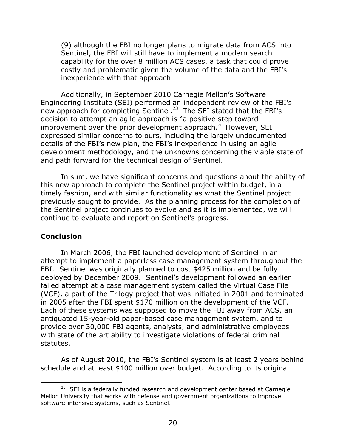(9) although the FBI no longer plans to migrate data from ACS into Sentinel, the FBI will still have to implement a modern search capability for the over 8 million ACS cases, a task that could prove costly and problematic given the volume of the data and the FBI's inexperience with that approach.

Additionally, in September 2010 Carnegie Mellon's Software Engineering Institute (SEI) performed an independent review of the FBI's new approach for completing Sentinel.<sup>23</sup> The SEI stated that the FBI's decision to attempt an agile approach is "a positive step toward improvement over the prior development approach." However, SEI expressed similar concerns to ours, including the largely undocumented details of the FBI's new plan, the FBI's inexperience in using an agile development methodology, and the unknowns concerning the viable state of and path forward for the technical design of Sentinel.

In sum, we have significant concerns and questions about the ability of this new approach to complete the Sentinel project within budget, in a timely fashion, and with similar functionality as what the Sentinel project previously sought to provide. As the planning process for the completion of the Sentinel project continues to evolve and as it is implemented, we will continue to evaluate and report on Sentinel's progress.

## **Conclusion**

In March 2006, the FBI launched development of Sentinel in an attempt to implement a paperless case management system throughout the FBI. Sentinel was originally planned to cost \$425 million and be fully deployed by December 2009. Sentinel's development followed an earlier failed attempt at a case management system called the Virtual Case File (VCF), a part of the Trilogy project that was initiated in 2001 and terminated in 2005 after the FBI spent \$170 million on the development of the VCF. Each of these systems was supposed to move the FBI away from ACS, an antiquated 15-year-old paper-based case management system, and to provide over 30,000 FBI agents, analysts, and administrative employees with state of the art ability to investigate violations of federal criminal statutes.

As of August 2010, the FBI's Sentinel system is at least 2 years behind schedule and at least \$100 million over budget. According to its original

 <sup>23</sup> SEI is a federally funded research and development center based at Carnegie Mellon University that works with defense and government organizations to improve software-intensive systems, such as Sentinel.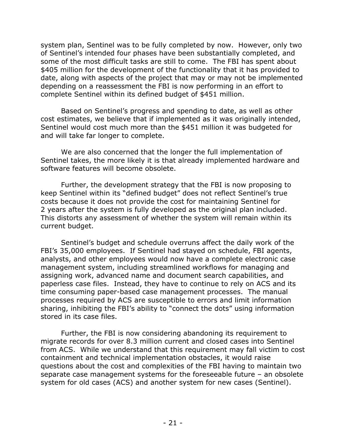system plan, Sentinel was to be fully completed by now. However, only two of Sentinel's intended four phases have been substantially completed, and some of the most difficult tasks are still to come. The FBI has spent about \$405 million for the development of the functionality that it has provided to date, along with aspects of the project that may or may not be implemented depending on a reassessment the FBI is now performing in an effort to complete Sentinel within its defined budget of \$451 million.

Based on Sentinel's progress and spending to date, as well as other cost estimates, we believe that if implemented as it was originally intended, Sentinel would cost much more than the \$451 million it was budgeted for and will take far longer to complete.

We are also concerned that the longer the full implementation of Sentinel takes, the more likely it is that already implemented hardware and software features will become obsolete.

Further, the development strategy that the FBI is now proposing to keep Sentinel within its "defined budget" does not reflect Sentinel's true costs because it does not provide the cost for maintaining Sentinel for 2 years after the system is fully developed as the original plan included. This distorts any assessment of whether the system will remain within its current budget.

Sentinel's budget and schedule overruns affect the daily work of the FBI's 35,000 employees. If Sentinel had stayed on schedule, FBI agents, analysts, and other employees would now have a complete electronic case management system, including streamlined workflows for managing and assigning work, advanced name and document search capabilities, and paperless case files. Instead, they have to continue to rely on ACS and its time consuming paper-based case management processes. The manual processes required by ACS are susceptible to errors and limit information sharing, inhibiting the FBI's ability to "connect the dots" using information stored in its case files.

Further, the FBI is now considering abandoning its requirement to migrate records for over 8.3 million current and closed cases into Sentinel from ACS. While we understand that this requirement may fall victim to cost containment and technical implementation obstacles, it would raise questions about the cost and complexities of the FBI having to maintain two separate case management systems for the foreseeable future – an obsolete system for old cases (ACS) and another system for new cases (Sentinel).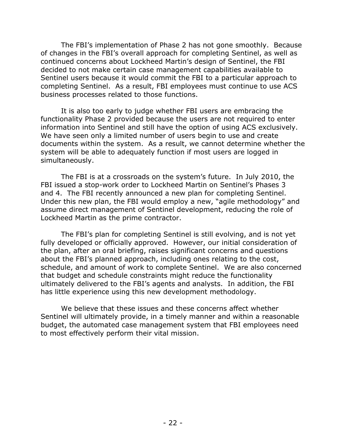The FBI's implementation of Phase 2 has not gone smoothly. Because of changes in the FBI's overall approach for completing Sentinel, as well as continued concerns about Lockheed Martin's design of Sentinel, the FBI decided to not make certain case management capabilities available to Sentinel users because it would commit the FBI to a particular approach to completing Sentinel. As a result, FBI employees must continue to use ACS business processes related to those functions.

It is also too early to judge whether FBI users are embracing the functionality Phase 2 provided because the users are not required to enter information into Sentinel and still have the option of using ACS exclusively. We have seen only a limited number of users begin to use and create documents within the system. As a result, we cannot determine whether the system will be able to adequately function if most users are logged in simultaneously.

The FBI is at a crossroads on the system's future. In July 2010, the FBI issued a stop-work order to Lockheed Martin on Sentinel's Phases 3 and 4. The FBI recently announced a new plan for completing Sentinel. Under this new plan, the FBI would employ a new, "agile methodology" and assume direct management of Sentinel development, reducing the role of Lockheed Martin as the prime contractor.

The FBI's plan for completing Sentinel is still evolving, and is not yet fully developed or officially approved. However, our initial consideration of the plan, after an oral briefing, raises significant concerns and questions about the FBI's planned approach, including ones relating to the cost, schedule, and amount of work to complete Sentinel. We are also concerned that budget and schedule constraints might reduce the functionality ultimately delivered to the FBI's agents and analysts. In addition, the FBI has little experience using this new development methodology.

We believe that these issues and these concerns affect whether Sentinel will ultimately provide, in a timely manner and within a reasonable budget, the automated case management system that FBI employees need to most effectively perform their vital mission.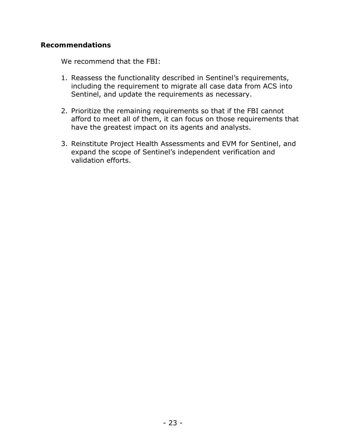## **Recommendations**

We recommend that the FBI:

- 1. Reassess the functionality described in Sentinel's requirements, including the requirement to migrate all case data from ACS into Sentinel, and update the requirements as necessary.
- 2. Prioritize the remaining requirements so that if the FBI cannot afford to meet all of them, it can focus on those requirements that have the greatest impact on its agents and analysts.
- 3. Reinstitute Project Health Assessments and EVM for Sentinel, and expand the scope of Sentinel's independent verification and validation efforts.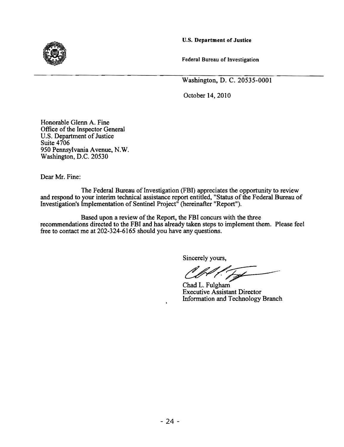u.s. Department of Justice

Federal Bureau of Investigation

Washington, D. C. 20535-0001

October 14, 2010

Honorable Glenn A. Fine Office of the Inspector General U.S. Department of Justice Suite 4706 950 Pennsylvania Avenue, N. W. Washington, D.C. 20530

Dear Mr. Fine:

The Federal Bureau of Investigation (FBI) appreciates the opportunity to review and respond to your interim technical assistance report entitled, "Status of the Federal Bureau of Investigation's Implementation of Sentinel Project<sup>"</sup> (hereinafter "Report").

Based upon a review of the Report, the FBI concurs with the three recommendations directed to the FBI and has already taken steps to implement them. Please feel free to contact me at 202-324-6165 should you have any questions.

Sincerely yours,

 $C\ell\ell^{\prime}$ 

Chad L. Fulgham Executive Assistant Director Information and Technology Branch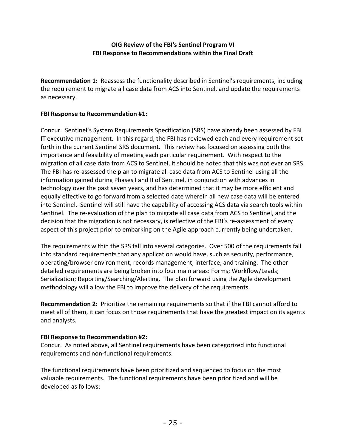## **OIG Review of the FBI's Sentinel Program VI FBI Response to Recommendations within the Final Draft**

 **Recommendation 1:** Reassess the functionality described in Sentinel's requirements, including the requirement to migrate all case data from ACS into Sentinel, and update the requirements as necessary.

## **FBI Response to Recommendation #1:**

 Concur. Sentinel's System Requirements Specification (SRS) have already been assessed by FBI IT executive management. In this regard, the FBI has reviewed each and every requirement set forth in the current Sentinel SRS document. This review has focused on assessing both the importance and feasibility of meeting each particular requirement. With respect to the migration of all case data from ACS to Sentinel, it should be noted that this was not ever an SRS. The FBI has re‐assessed the plan to migrate all case data from ACS to Sentinel using all the information gained during Phases I and II of Sentinel, in conjunction with advances in technology over the past seven years, and has determined that it may be more efficient and equally effective to go forward from a selected date wherein all new case data will be entered into Sentinel. Sentinel will still have the capability of accessing ACS data via search tools within Sentinel. The re‐evaluation of the plan to migrate all case data from ACS to Sentinel, and the decision that the migration is not necessary, is reflective of the FBI's re‐assessment of every aspect of this project prior to embarking on the Agile approach currently being undertaken.

 The requirements within the SRS fall into several categories. Over 500 of the requirements fall into standard requirements that any application would have, such as security, performance, operating/browser environment, records management, interface, and training. The other detailed requirements are being broken into four main areas: Forms; Workflow/Leads; Serialization; Reporting/Searching/Alerting. The plan forward using the Agile development methodology will allow the FBI to improve the delivery of the requirements.

 **Recommendation 2:** Prioritize the remaining requirements so that if the FBI cannot afford to meet all of them, it can focus on those requirements that have the greatest impact on its agents and analysts.

## **FBI Response to Recommendation #2:**

 Concur. As noted above, all Sentinel requirements have been categorized into functional requirements and non‐functional requirements.

 The functional requirements have been prioritized and sequenced to focus on the most valuable requirements. The functional requirements have been prioritized and will be developed as follows: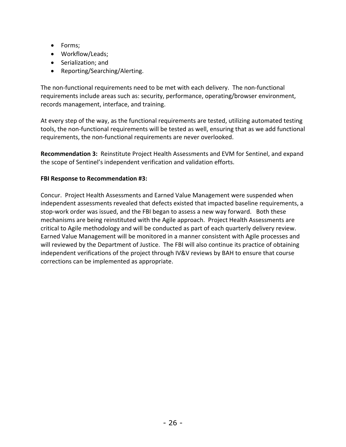- Forms;
- Workflow/Leads;
- Serialization; and
- Reporting/Searching/Alerting.

 The non‐functional requirements need to be met with each delivery. The non‐functional requirements include areas such as: security, performance, operating/browser environment, records management, interface, and training.

 At every step of the way, as the functional requirements are tested, utilizing automated testing tools, the non‐functional requirements will be tested as well, ensuring that as we add functional requirements, the non‐functional requirements are never overlooked.

 **Recommendation 3:** Reinstitute Project Health Assessments and EVM for Sentinel, and expand the scope of Sentinel's independent verification and validation efforts.

## **FBI Response to Recommendation #3:**

 Concur. Project Health Assessments and Earned Value Management were suspended when independent assessments revealed that defects existed that impacted baseline requirements, a stop‐work order was issued, and the FBI began to assess a new way forward. Both these mechanisms are being reinstituted with the Agile approach. Project Health Assessments are critical to Agile methodology and will be conducted as part of each quarterly delivery review. Earned Value Management will be monitored in a manner consistent with Agile processes and will reviewed by the Department of Justice. The FBI will also continue its practice of obtaining independent verifications of the project through IV&V reviews by BAH to ensure that course corrections can be implemented as appropriate.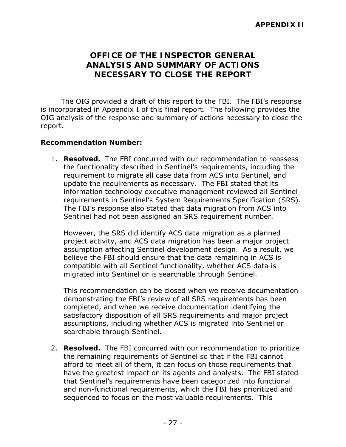# **OFFICE OF THE INSPECTOR GENERAL ANALYSIS AND SUMMARY OF ACTIONS NECESSARY TO CLOSE THE REPORT**

The OIG provided a draft of this report to the FBI. The FBI's response is incorporated in Appendix I of this final report. The following provides the OIG analysis of the response and summary of actions necessary to close the report.

## **Recommendation Number:**

Sentinel had not been assigned an SRS requirement number. 1. **Resolved.** The FBI concurred with our recommendation to reassess the functionality described in Sentinel's requirements, including the requirement to migrate all case data from ACS into Sentinel, and update the requirements as necessary. The FBI stated that its information technology executive management reviewed all Sentinel requirements in Sentinel's System Requirements Specification (SRS). The FBI's response also stated that data migration from ACS into

However, the SRS did identify ACS data migration as a planned project activity, and ACS data migration has been a major project assumption affecting Sentinel development design. As a result, we believe the FBI should ensure that the data remaining in ACS is compatible with all Sentinel functionality, whether ACS data is migrated into Sentinel or is searchable through Sentinel.

This recommendation can be closed when we receive documentation demonstrating the FBI's review of all SRS requirements has been completed, and when we receive documentation identifying the satisfactory disposition of all SRS requirements and major project assumptions, including whether ACS is migrated into Sentinel or searchable through Sentinel.

2. **Resolved.** The FBI concurred with our recommendation to prioritize the remaining requirements of Sentinel so that if the FBI cannot afford to meet all of them, it can focus on those requirements that have the greatest impact on its agents and analysts. The FBI stated that Sentinel's requirements have been categorized into functional and non-functional requirements, which the FBI has prioritized and sequenced to focus on the most valuable requirements. This